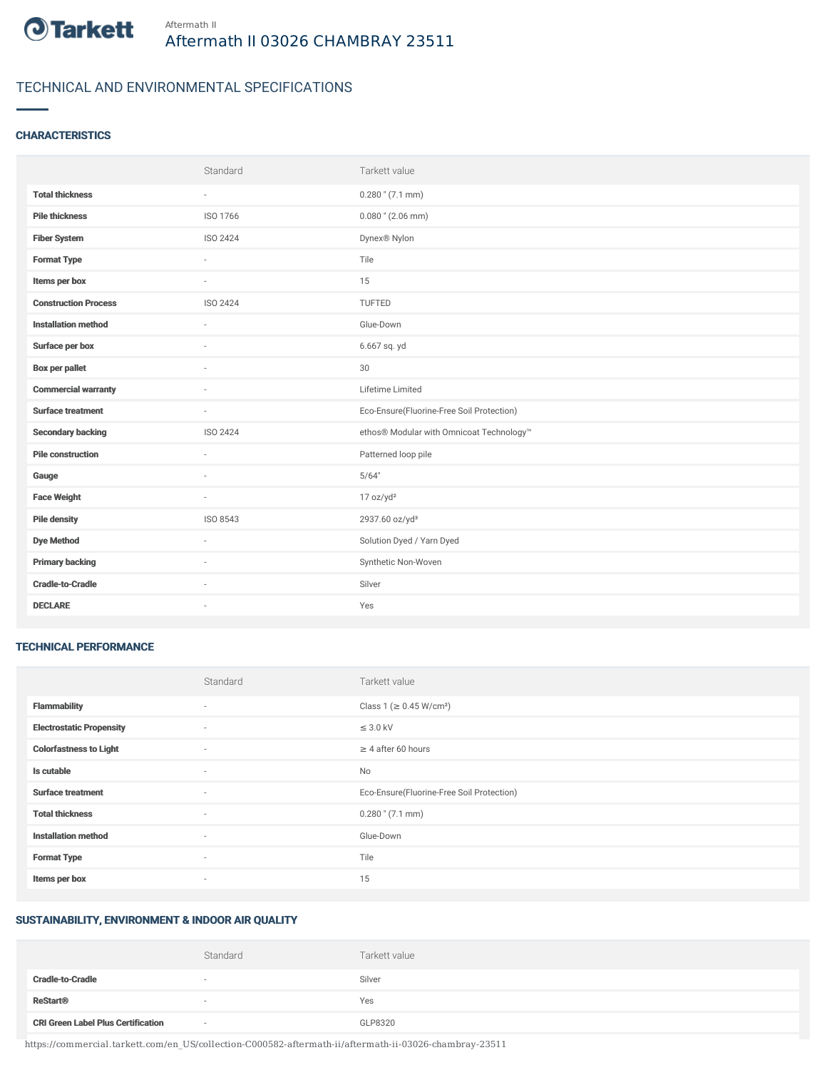

## TECHNICAL AND ENVIRONMENTAL SPECIFICATIONS

#### **CHARACTERISTICS**

|                             | Standard | Tarkett value                             |
|-----------------------------|----------|-------------------------------------------|
| <b>Total thickness</b>      | $\sim$   | $0.280$ " (7.1 mm)                        |
| <b>Pile thickness</b>       | ISO 1766 | $0.080$ " (2.06 mm)                       |
| <b>Fiber System</b>         | ISO 2424 | Dynex <sup>®</sup> Nylon                  |
| <b>Format Type</b>          | ٠        | Tile                                      |
| Items per box               | $\sim$   | 15                                        |
| <b>Construction Process</b> | ISO 2424 | TUFTED                                    |
| <b>Installation method</b>  | $\sim$   | Glue-Down                                 |
| Surface per box             | ٠        | 6.667 sq. yd                              |
| <b>Box per pallet</b>       | ÷.       | 30                                        |
| <b>Commercial warranty</b>  |          | Lifetime Limited                          |
| <b>Surface treatment</b>    | ×.       | Eco-Ensure(Fluorine-Free Soil Protection) |
| <b>Secondary backing</b>    | ISO 2424 | ethos® Modular with Omnicoat Technology™  |
| <b>Pile construction</b>    | $\sim$   | Patterned loop pile                       |
| Gauge                       |          | 5/64"                                     |
| <b>Face Weight</b>          | $\sim$   | 17 oz/yd <sup>2</sup>                     |
| <b>Pile density</b>         | ISO 8543 | 2937.60 oz/yd <sup>3</sup>                |
| <b>Dye Method</b>           | $\sim$   | Solution Dyed / Yarn Dyed                 |
| <b>Primary backing</b>      | ٠        | Synthetic Non-Woven                       |
| <b>Cradle-to-Cradle</b>     | ×.       | Silver                                    |
| <b>DECLARE</b>              | ٠        | Yes                                       |

#### TECHNICAL PERFORMANCE

|                                 | Standard                 | Tarkett value                             |
|---------------------------------|--------------------------|-------------------------------------------|
| <b>Flammability</b>             | $\sim$                   | Class 1 ( $\geq$ 0.45 W/cm <sup>2</sup> ) |
| <b>Electrostatic Propensity</b> | $\sim$                   | $\leq$ 3.0 kV                             |
| <b>Colorfastness to Light</b>   | $\sim$                   | $\geq$ 4 after 60 hours                   |
| Is cutable                      | $\sim$                   | No                                        |
| <b>Surface treatment</b>        | $\sim$                   | Eco-Ensure(Fluorine-Free Soil Protection) |
| <b>Total thickness</b>          | $\sim$                   | $0.280$ " (7.1 mm)                        |
| <b>Installation method</b>      | $\overline{\phantom{a}}$ | Glue-Down                                 |
| <b>Format Type</b>              | $\sim$                   | Tile                                      |
| Items per box                   | $\sim$                   | 15                                        |

# SUSTAINABILITY, ENVIRONMENT & INDOOR AIR QUALITY

|                                           | Standard | Tarkett value |
|-------------------------------------------|----------|---------------|
| <b>Cradle-to-Cradle</b>                   |          | Silver        |
| <b>ReStart<sup>®</sup></b>                |          | Yes           |
| <b>CRI Green Label Plus Certification</b> | $\sim$   | GLP8320       |

https://commercial.tarkett.com/en\_US/collection-C000582-aftermath-ii/aftermath-ii-03026-chambray-23511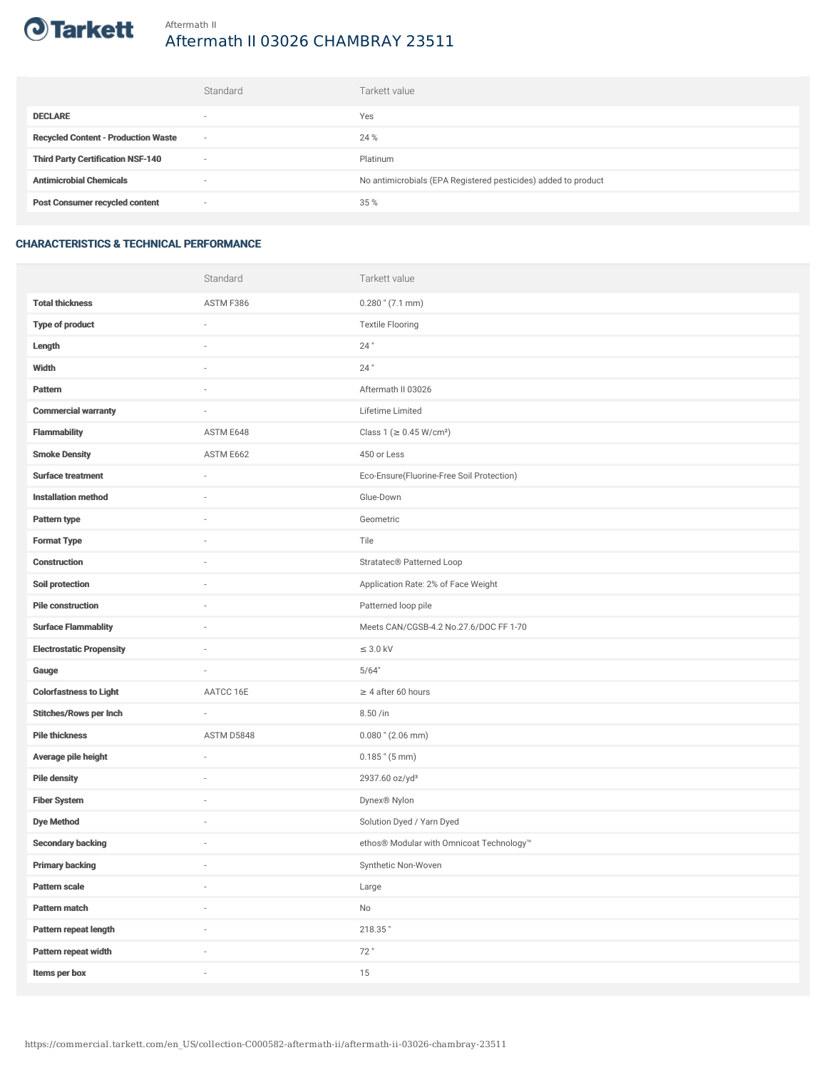

# Aftermath II 03026 CHAMBRAY 23511

|                                            | Standard                 | Tarkett value                                                  |
|--------------------------------------------|--------------------------|----------------------------------------------------------------|
| <b>DECLARE</b>                             | $\overline{\phantom{a}}$ | Yes                                                            |
| <b>Recycled Content - Production Waste</b> | $\sim$                   | 24 %                                                           |
| <b>Third Party Certification NSF-140</b>   | $\sim$                   | Platinum                                                       |
| <b>Antimicrobial Chemicals</b>             | $\overline{\phantom{a}}$ | No antimicrobials (EPA Registered pesticides) added to product |
| <b>Post Consumer recycled content</b>      | $\sim$                   | 35 %                                                           |

### CHARACTERISTICS & TECHNICAL PERFORMANCE

|                                 | Standard                 | Tarkett value                             |
|---------------------------------|--------------------------|-------------------------------------------|
| <b>Total thickness</b>          | ASTM F386                | $0.280$ " (7.1 mm)                        |
| <b>Type of product</b>          | i.                       | <b>Textile Flooring</b>                   |
| Length                          |                          | 24"                                       |
| Width                           | $\sim$                   | $24$ "                                    |
| <b>Pattern</b>                  |                          | Aftermath II 03026                        |
| <b>Commercial warranty</b>      |                          | Lifetime Limited                          |
| <b>Flammability</b>             | ASTM E648                | Class 1 (≥ 0.45 W/cm <sup>2</sup> )       |
| <b>Smoke Density</b>            | ASTM E662                | 450 or Less                               |
| <b>Surface treatment</b>        |                          | Eco-Ensure(Fluorine-Free Soil Protection) |
| <b>Installation method</b>      | ä,                       | Glue-Down                                 |
| Pattern type                    |                          | Geometric                                 |
| <b>Format Type</b>              |                          | Tile                                      |
| Construction                    | $\sim$                   | Stratatec® Patterned Loop                 |
| Soil protection                 |                          | Application Rate: 2% of Face Weight       |
| <b>Pile construction</b>        |                          | Patterned loop pile                       |
| <b>Surface Flammablity</b>      | ä,                       | Meets CAN/CGSB-4.2 No.27.6/DOC FF 1-70    |
| <b>Electrostatic Propensity</b> | ٠                        | $\leq$ 3.0 kV                             |
| Gauge                           | i.                       | 5/64"                                     |
| <b>Colorfastness to Light</b>   | AATCC 16E                | $\geq$ 4 after 60 hours                   |
| <b>Stitches/Rows per Inch</b>   | ä,                       | 8.50 /in                                  |
| <b>Pile thickness</b>           | ASTM D5848               | $0.080$ " (2.06 mm)                       |
| Average pile height             | ä,                       | $0.185$ " (5 mm)                          |
| <b>Pile density</b>             |                          | 2937.60 oz/yd <sup>3</sup>                |
| <b>Fiber System</b>             |                          | Dynex® Nylon                              |
| <b>Dye Method</b>               | $\sim$                   | Solution Dyed / Yarn Dyed                 |
| <b>Secondary backing</b>        |                          | ethos® Modular with Omnicoat Technology™  |
| <b>Primary backing</b>          | i.                       | Synthetic Non-Woven                       |
| Pattern scale                   | $\overline{\phantom{a}}$ | Large                                     |
| Pattern match                   | i.                       | $\mathsf{No}$                             |
| Pattern repeat length           |                          | 218.35"                                   |
| Pattern repeat width            | i.                       | 72"                                       |
| Items per box                   | ×,                       | 15                                        |